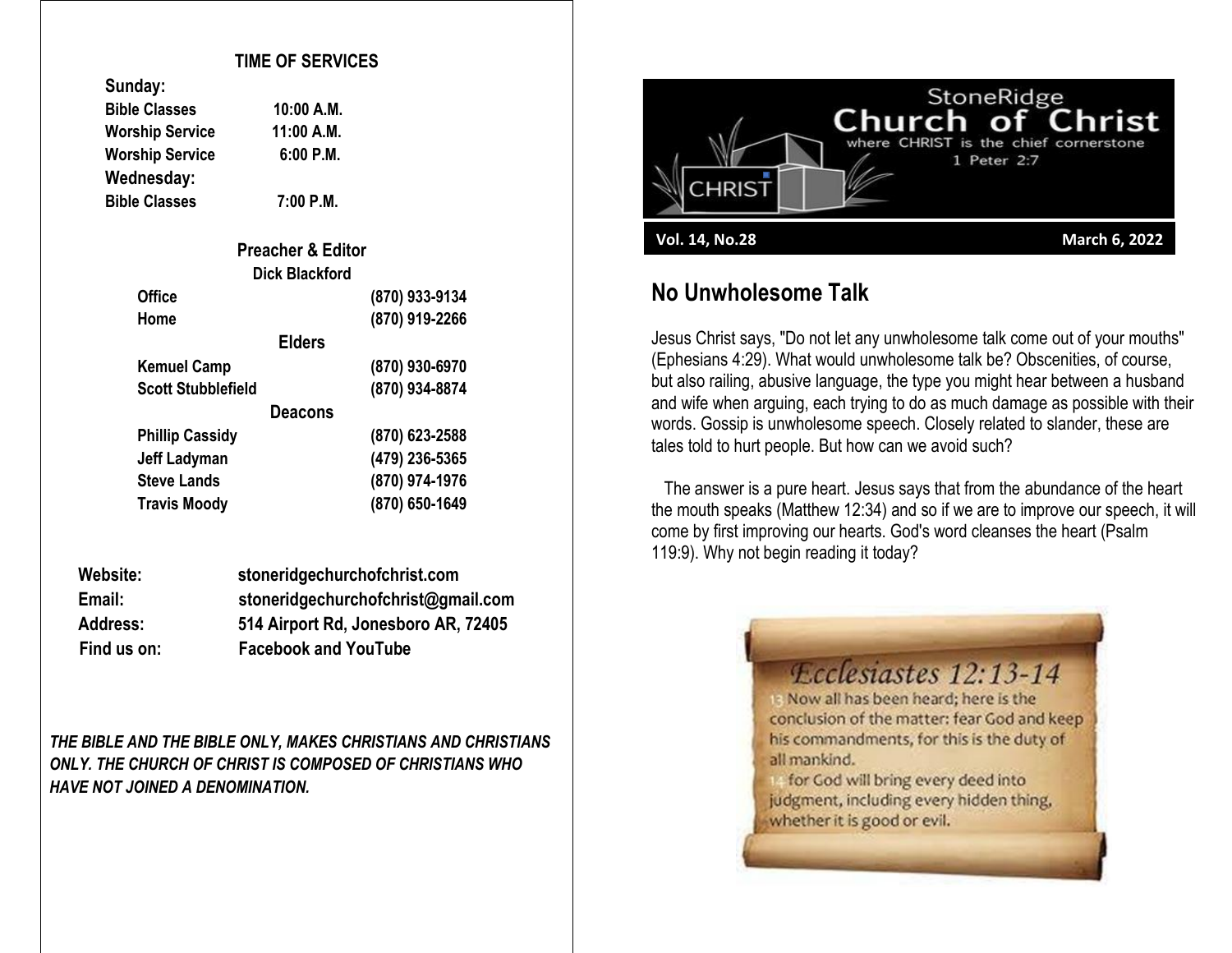### **TIME OF SERVICES**

| Sunuay.                |             |
|------------------------|-------------|
| <b>Bible Classes</b>   | 10:00 A.M.  |
| <b>Worship Service</b> | 11:00 A.M.  |
| <b>Worship Service</b> | $6:00$ P.M. |
| Wednesday:             |             |
| <b>Bible Classes</b>   | $7:00$ P.M. |

**Sunday:**

| <b>Preacher &amp; Editor</b> |                |
|------------------------------|----------------|
| <b>Dick Blackford</b>        |                |
| <b>Office</b>                | (870) 933-9134 |
| Home                         | (870) 919-2266 |
| <b>Elders</b>                |                |
| <b>Kemuel Camp</b>           | (870) 930-6970 |
| <b>Scott Stubblefield</b>    | (870) 934-8874 |
| Deacons                      |                |
| <b>Phillip Cassidy</b>       | (870) 623-2588 |
| Jeff Ladyman                 | (479) 236-5365 |
| <b>Steve Lands</b>           | (870) 974-1976 |
| <b>Travis Moody</b>          | (870) 650-1649 |

| Website:        | stoneridgechurchofchrist.com        |
|-----------------|-------------------------------------|
| Email:          | stoneridgechurchofchrist@gmail.com  |
| <b>Address:</b> | 514 Airport Rd, Jonesboro AR, 72405 |
| Find us on:     | <b>Facebook and YouTube</b>         |

*THE BIBLE AND THE BIBLE ONLY, MAKES CHRISTIANS AND CHRISTIANS ONLY. THE CHURCH OF CHRIST IS COMPOSED OF CHRISTIANS WHO HAVE NOT JOINED A DENOMINATION.*



## **No Unwholesome Talk**

Jesus Christ says, "Do not let any unwholesome talk come out of your mouths" (Ephesians 4:29). What would unwholesome talk be? Obscenities, of course, but also railing, abusive language, the type you might hear between a husband and wife when arguing, each trying to do as much damage as possible with their words. Gossip is unwholesome speech. Closely related to slander, these are tales told to hurt people. But how can we avoid such?

 The answer is a pure heart. Jesus says that from the abundance of the heart the mouth speaks (Matthew 12:34) and so if we are to improve our speech, it will come by first improving our hearts. God's word cleanses the heart (Psalm 119:9). Why not begin reading it today?

> *<u>Fedesiastes 12:13-14</u>* Is Now all has been heard; here is the conclusion of the matter: fear God and keep his commandments, for this is the duty of all mankind.

for God will bring every deed into judgment, including every hidden thing, whether it is good or evil.